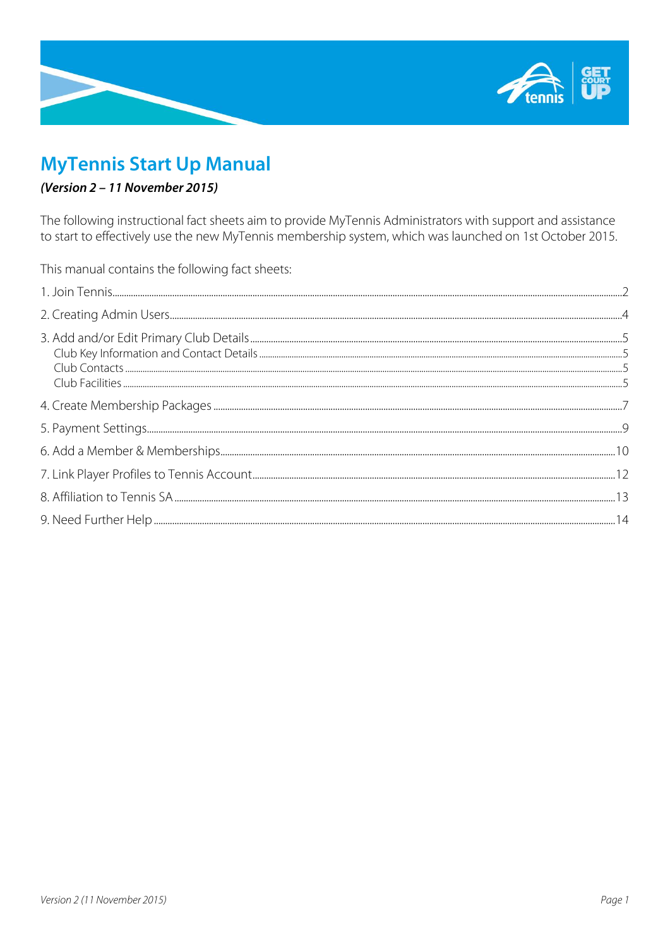

# **MyTennis Start Up Manual**

# (Version 2 – 11 November 2015)

The following instructional fact sheets aim to provide MyTennis Administrators with support and assistance to start to effectively use the new MyTennis membership system, which was launched on 1st October 2015.

This manual contains the following fact sheets: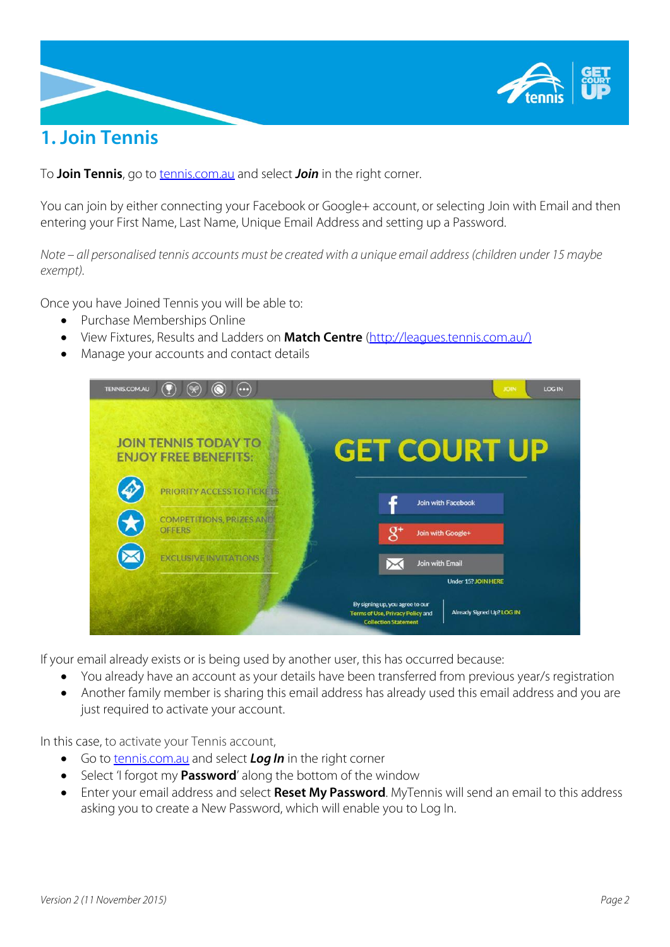

# <span id="page-1-0"></span>**1. Join Tennis**

To **Join Tennis**, go to [tennis.com.au](http://tennis.com.au/) and select **Join** in the right corner.

You can join by either connecting your Facebook or Google+ account, or selecting Join with Email and then entering your First Name, Last Name, Unique Email Address and setting up a Password.

Note – all personalised tennis accounts must be created with a unique email address (children under 15 maybe *exempt).*

Once you have Joined Tennis you will be able to:

- Purchase Memberships Online
- View Fixtures, Results and Ladders on **Match [Centre](http://leagues.tennis.com.au/)** [\(http://leagues.tennis.com.au/\)](http://leagues.tennis.com.au/)
- Manage your accounts and contact details



If your email already exists or is being used by another user, this has occurred because:

- You already have an account as your details have been transferred from previous year/s registration
- Another family member is sharing this email address has already used this email address and you are just required to activate your account.

In this case, to activate your Tennis account,

- Go to [tennis.com.au](http://tennis.com.au/) and select *Log In* in the right corner
- Select 'I forgot my **Password'** along the bottom of the window
- Enter your email address and select **Reset My Password**. MyTennis will send an email to this address asking you to create a New Password, which will enable you to Log In.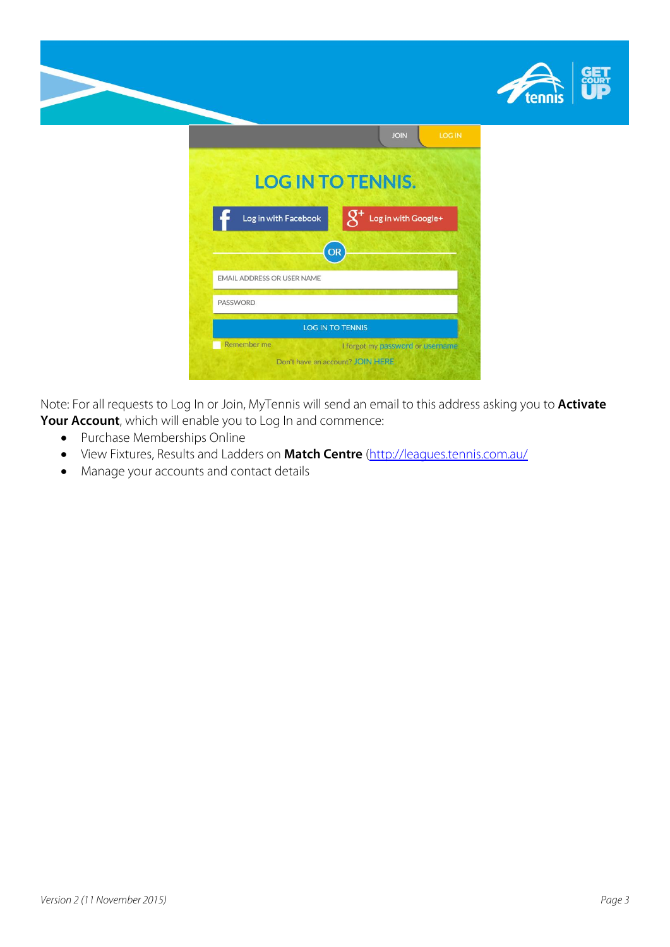



Note: For all requests to Log In or Join, MyTennis will send an email to this address asking you to **Activate Your Account**, which will enable you to Log In and commence:

- Purchase Memberships Online
- View Fixtures, Results and Ladders on **Match [Centre](http://leagues.tennis.com.au/)** [\(http://leagues.tennis.com.au/](http://leagues.tennis.com.au/)
- Manage your accounts and contact details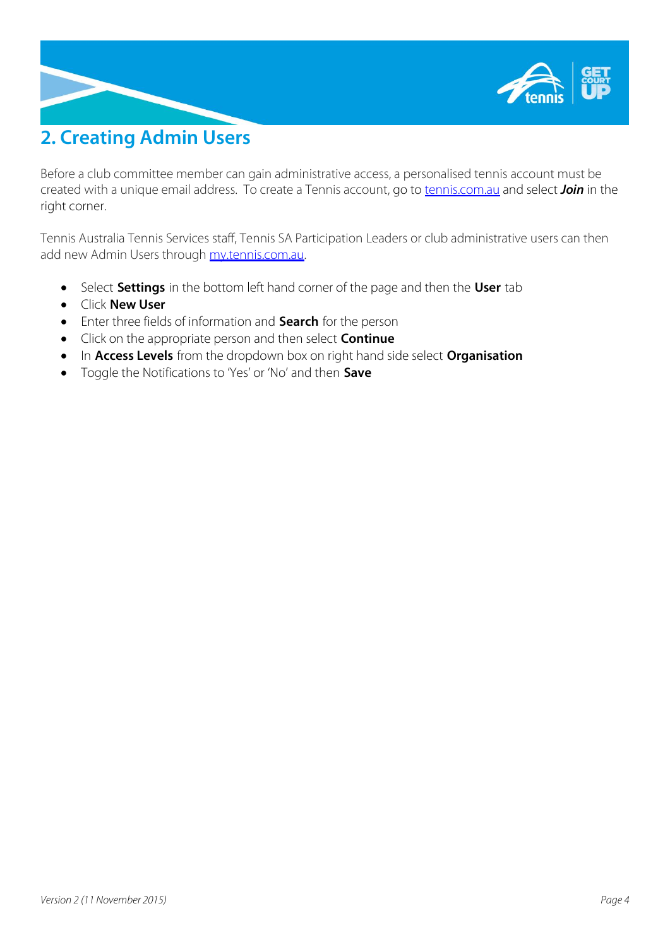

# <span id="page-3-0"></span>**2. Creating Admin Users**

Before a club committee member can gain administrative access, a personalised tennis account must be created with a unique email address. To create a Tennis account, go to [tennis.com.au](http://tennis.com.au/) and select *Join* in the right corner.

Tennis Australia Tennis Services staff, Tennis SA Participation Leaders or club administrative users can then add new Admin Users through [my.tennis.com.au.](https://my.tennis.com.au/)

- Select **Settings** in the bottom left hand corner of the page and then the **User** tab
- Click **New User**
- Enter three fields of information and **Search** for the person
- Click on the appropriate person and then select **Continue**
- In **Access Levels** from the dropdown box on right hand side select **Organisation**
- Toggle the Notifications to 'Yes' or 'No' and then **Save**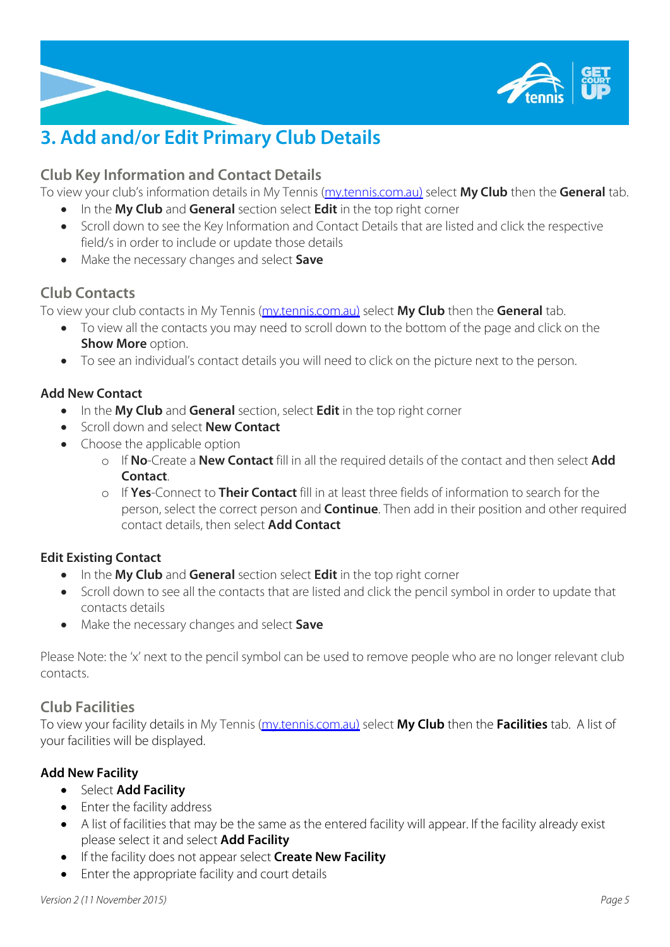

# <span id="page-4-0"></span>**3. Add and/or Edit Primary Club Details**

## <span id="page-4-1"></span>**Club Key Information and Contact Details**

To view your club's information details in My Tennis [\(my.tennis.com.au\)](https://my.tennis.com.au/) select **My Club** then the **General** tab.

- In the **My Club** and **General** section select **Edit** in the top right corner
- Scroll down to see the Key Information and Contact Details that are listed and click the respective field/s in order to include or update those details
- Make the necessary changes and select **Save**

## <span id="page-4-2"></span>**Club Contacts**

To view your club contacts in My Tennis [\(my.tennis.com.au\)](https://my.tennis.com.au/) select **My Club** then the **General** tab.

- To view all the contacts you may need to scroll down to the bottom of the page and click on the **Show More** option.
- To see an individual's contact details you will need to click on the picture next to the person.

## **Add New Contact**

- In the **My Club** and **General** section, select **Edit** in the top right corner
- Scroll down and select **New Contact**
- Choose the applicable option
	- o If **No**-Create a **New Contact** fill in all the required details of the contact and then select **Add Contact**.
	- o If **Yes**-Connect to **Their Contact** fill in at least three fields of information to search for the person, select the correct person and **Continue**. Then add in their position and other required contact details, then select **Add Contact**

## **Edit Existing Contact**

- In the **My Club** and **General** section select **Edit** in the top right corner
- Scroll down to see all the contacts that are listed and click the pencil symbol in order to update that contacts details
- Make the necessary changes and select **Save**

Please Note: the 'x' next to the pencil symbol can be used to remove people who are no longer relevant club contacts.

## <span id="page-4-3"></span>**Club Facilities**

To view your facility details in My Tennis [\(my.tennis.com.au\)](https://my.tennis.com.au/) select **My Club** then the **Facilities** tab. A list of your facilities will be displayed.

## **Add New Facility**

- Select **Add Facility**
- Enter the facility address
- A list of facilities that may be the same as the entered facility will appear. If the facility already exist please select it and select **Add Facility**
- If the facility does not appear select **Create New Facility**
- Enter the appropriate facility and court details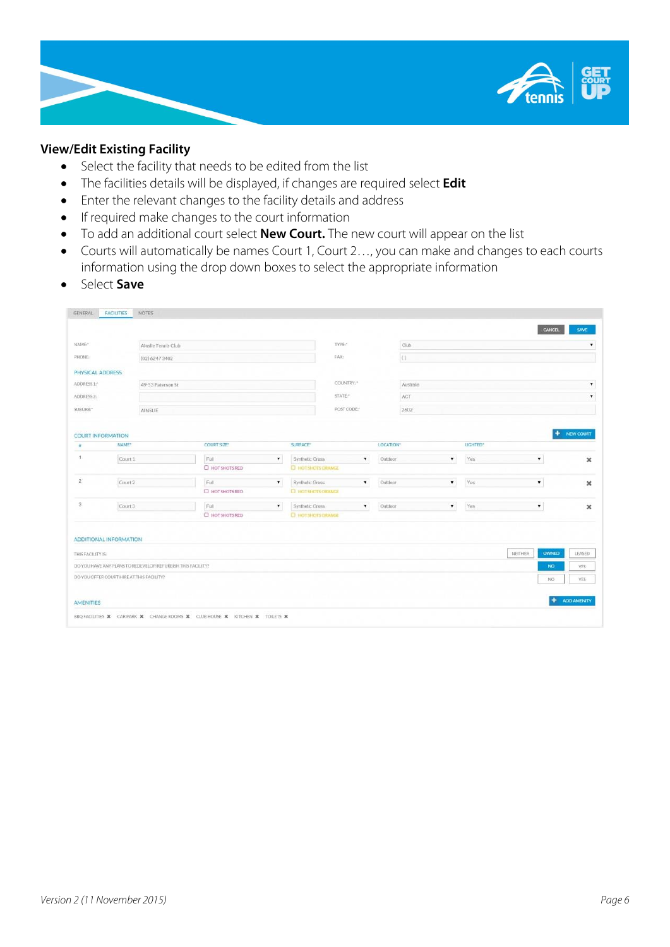

#### **View/Edit Existing Facility**

- Select the facility that needs to be edited from the list
- The facilities details will be displayed, if changes are required select **Edit**
- Enter the relevant changes to the facility details and address
- If required make changes to the court information
- To add an additional court select **New Court.** The new court will appear on the list
- Courts will automatically be names Court 1, Court 2…, you can make and changes to each courts information using the drop down boxes to select the appropriate information
- **s** Select **Save**

| GENERAL                  | <b>FACILITIES</b><br>NOTES <sup>®</sup>                                     |                        |                    |                                       |           |                    |                      |                         |                           |
|--------------------------|-----------------------------------------------------------------------------|------------------------|--------------------|---------------------------------------|-----------|--------------------|----------------------|-------------------------|---------------------------|
|                          |                                                                             |                        |                    |                                       |           |                    |                      | CANCEL                  | SAVE                      |
| NAME:                    | Ainslie Tennis Club                                                         |                        |                    | TYPE:                                 |           | Club               |                      |                         |                           |
| PHONE:                   | (02) 6247 3402                                                              |                        |                    | FAX:                                  |           | (1)                |                      |                         |                           |
| PHYSICAL ADDRESS         |                                                                             |                        |                    |                                       |           |                    |                      |                         |                           |
| ADDRESS 1:"              | 49-53 Paterson St                                                           |                        |                    | COUNTRY: *<br>Australia               |           |                    |                      |                         |                           |
| ADDRESS <sub>2</sub> :   |                                                                             |                        |                    | STATE <sup>*</sup><br>ACT             |           |                    | ۰                    |                         |                           |
| SUBURB:"                 | AINSLIE                                                                     |                        |                    | POST CODE*                            |           | 2602               |                      |                         |                           |
|                          |                                                                             |                        |                    |                                       |           |                    |                      |                         |                           |
| <b>COURT INFORMATION</b> |                                                                             |                        |                    |                                       |           |                    |                      |                         | $+$ NEW COURT             |
| $\frac{d}{dt}$           | NAME*                                                                       | <b>COURT SIZE*</b>     | SURFACE*           |                                       | LOCATION" |                    | LIGHTED <sup>®</sup> |                         |                           |
| 4.1                      | Court 1                                                                     | Full                   | $\pmb{\mathrm{v}}$ | Synthetic Grass<br>$\pmb{\mathrm{v}}$ | Outdoor   | $\pmb{\mathrm{v}}$ | Yes                  | $\mathbf v$             | $\boldsymbol{\mathsf{x}}$ |
|                          |                                                                             | C HOTSHOTS RED         |                    | <b>D</b> HOTSHOTS CRANCE              |           |                    |                      |                         |                           |
| $\overline{2}$           | Court 2                                                                     | Full                   | $\pmb{\mathrm{v}}$ | Synthetic Grass<br>$\mathbf{v}$       | Outdoor   | $\pmb{\mathrm{v}}$ | Yes                  | $\bar{\mathbf{r}}$      | ×                         |
|                          |                                                                             | C HOTSHOTS RED         |                    | <b>E HOTSHOTS CRANCE</b>              |           |                    |                      |                         |                           |
| 3                        | Court 3                                                                     | Full                   | $\pmb{\mathrm{v}}$ | $\pmb{\mathrm{v}}$<br>Synthetic Grass | Outdoor   | $\pmb{\mathrm{v}}$ | Yes                  | $\pmb{\mathrm{v}}$      | $\mathbf x$               |
|                          |                                                                             | <b>C HOT SHOTS RED</b> |                    | <b>C HOT SHOTS ORANGE</b>             |           |                    |                      |                         |                           |
|                          | <b>ADDITIONAL INFORMATION</b>                                               |                        |                    |                                       |           |                    |                      |                         |                           |
| THIS FACILITY IS:        |                                                                             |                        |                    |                                       |           |                    |                      | <b>NEITHER</b><br>OWNED | LEASED                    |
|                          | DO YOU HAVE ANY PLANS TO REDEVELOP/REFURBISH THIS FACILITY?                 |                        |                    |                                       |           |                    |                      | NO.                     | YES:                      |
|                          | DO YOU OFFER COURT HIRE AT THIS FACILITY?                                   |                        |                    |                                       |           |                    |                      | NO                      | YES:                      |
| <b>AMENITIES</b>         |                                                                             |                        |                    |                                       |           |                    |                      | $\ddot{}$               | ADD AMENITY               |
|                          | BBQ FACILITIES X CAR PARK X CHANGE ROOMS X CLUB HOUSE X KITCHEN X TOILETS X |                        |                    |                                       |           |                    |                      |                         |                           |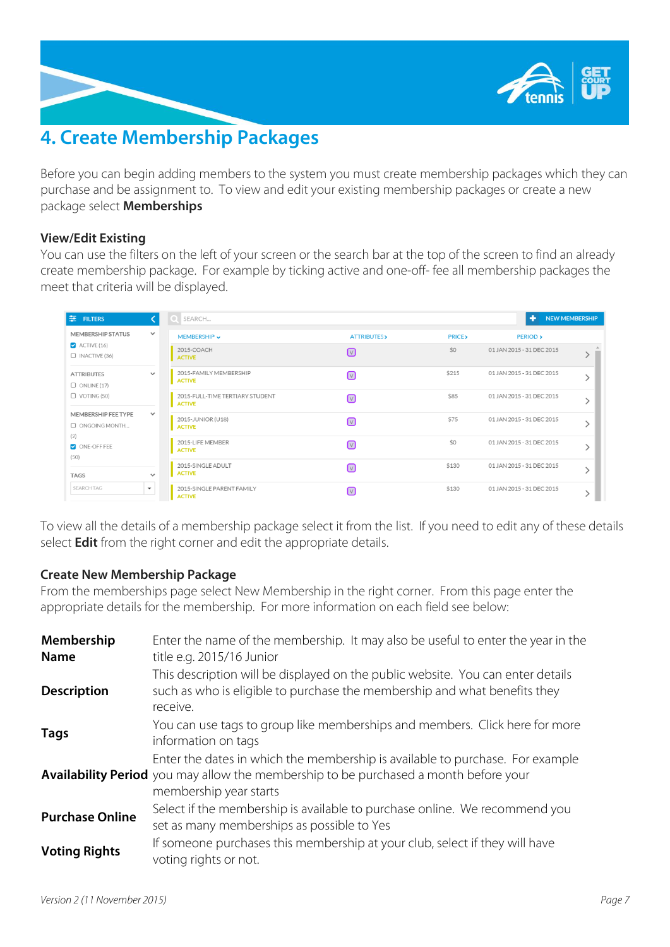

# <span id="page-6-0"></span>**4. Create Membership Packages**

Before you can begin adding members to the system you must create membership packages which they can purchase and be assignment to. To view and edit your existing membership packages or create a new package select **Memberships**

## **View/Edit Existing**

You can use the filters on the left of your screen or the search bar at the top of the screen to find an already create membership package. For example by ticking active and one-off- fee all membership packages the meet that criteria will be displayed.

| $\equiv$ FILTERS                                                                      |                      | O SEARCH                                         |                                    |                  | 47<br><b>NEW MEMBERSHIP</b> |                           |  |
|---------------------------------------------------------------------------------------|----------------------|--------------------------------------------------|------------------------------------|------------------|-----------------------------|---------------------------|--|
| <b>MEMBERSHIP STATUS</b><br>$\blacktriangleright$ ACTIVE (16)<br>$\Box$ INACTIVE (36) | $\checkmark$         | MEMBERSHIP ~                                     | <b>ATTRIBUTES&gt;</b>              | <b>PRICE&gt;</b> | <b>PERIOD</b> >             |                           |  |
|                                                                                       |                      | 2015-COACH<br><b>ACTIVE</b>                      | ☑                                  | \$0              | 01 JAN 2015 - 31 DEC 2015   |                           |  |
| <b>ATTRIBUTES</b><br>$\Box$ ONLINE (17)                                               | $\checkmark$         | 2015-FAMILY MEMBERSHIP<br><b>ACTIVE</b>          | $\boxed{\vee}$                     | \$215            | 01 JAN 2015 - 31 DEC 2015   |                           |  |
| $\Box$ VOTING (50)                                                                    |                      | 2015-FULL-TIME TERTIARY STUDENT<br><b>ACTIVE</b> | $\boxed{\vee}$                     | \$85             | 01 JAN 2015 - 31 DEC 2015   |                           |  |
| MEMBERSHIP FEE TYPE<br>O ONGOING MONTH                                                | $\checkmark$         |                                                  | 2015-JUNIOR (U18)<br><b>ACTIVE</b> | $\boxed{\vee}$   | \$75                        | 01 JAN 2015 - 31 DEC 2015 |  |
| (2)<br>ONE-OFF FEE<br>(50)                                                            |                      | 2015-LIFE MEMBER<br><b>ACTIVE</b>                | $\Box$                             | \$0              | 01 JAN 2015 - 31 DEC 2015   |                           |  |
| <b>TAGS</b>                                                                           | $\checkmark$         | 2015-SINGLE ADULT<br><b>ACTIVE</b>               | $\Box$                             | \$130            | 01 JAN 2015 - 31 DEC 2015   |                           |  |
| <b>SEARCH TAG</b>                                                                     | $\blacktriangledown$ | 2015-SINGLE PARENT FAMILY<br><b>ACTIVE</b>       | $\sqrt{2}$                         | \$130            | 01 JAN 2015 - 31 DEC 2015   |                           |  |

To view all the details of a membership package select it from the list. If you need to edit any of these details select **Edit** from the right corner and edit the appropriate details.

## **Create New Membership Package**

From the memberships page select New Membership in the right corner. From this page enter the appropriate details for the membership. For more information on each field see below:

| Membership<br><b>Name</b> | Enter the name of the membership. It may also be useful to enter the year in the<br>title e.g. 2015/16 Junior                                                                                          |
|---------------------------|--------------------------------------------------------------------------------------------------------------------------------------------------------------------------------------------------------|
| <b>Description</b>        | This description will be displayed on the public website. You can enter details<br>such as who is eligible to purchase the membership and what benefits they<br>receive.                               |
| <b>Tags</b>               | You can use tags to group like memberships and members. Click here for more<br>information on tags                                                                                                     |
|                           | Enter the dates in which the membership is available to purchase. For example<br><b>Availability Period</b> you may allow the membership to be purchased a month before your<br>membership year starts |
| <b>Purchase Online</b>    | Select if the membership is available to purchase online. We recommend you<br>set as many memberships as possible to Yes                                                                               |
| <b>Voting Rights</b>      | If someone purchases this membership at your club, select if they will have<br>voting rights or not.                                                                                                   |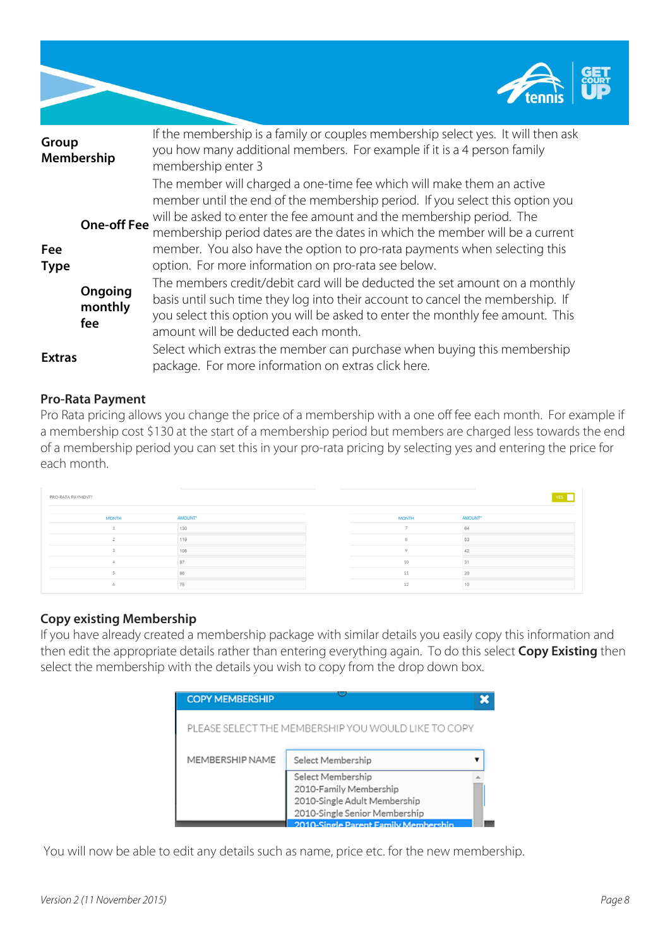

| Group         | Membership                | If the membership is a family or couples membership select yes. It will then ask<br>you how many additional members. For example if it is a 4 person family<br>membership enter 3                                                                                                                                                                                                                            |
|---------------|---------------------------|--------------------------------------------------------------------------------------------------------------------------------------------------------------------------------------------------------------------------------------------------------------------------------------------------------------------------------------------------------------------------------------------------------------|
| Fee           |                           | The member will charged a one-time fee which will make them an active<br>member until the end of the membership period. If you select this option you<br><b>One-off Fee</b> will be asked to enter the fee amount and the membership period. The<br>membership period dates are the dates in which the member will be a current<br>member. You also have the option to pro-rata payments when selecting this |
| <b>Type</b>   | Ongoing<br>monthly<br>fee | option. For more information on pro-rata see below.<br>The members credit/debit card will be deducted the set amount on a monthly<br>basis until such time they log into their account to cancel the membership. If<br>you select this option you will be asked to enter the monthly fee amount. This<br>amount will be deducted each month.                                                                 |
| <b>Extras</b> |                           | Select which extras the member can purchase when buying this membership<br>package. For more information on extras click here.                                                                                                                                                                                                                                                                               |

## **Pro-Rata Payment**

Pro Rata pricing allows you change the price of a membership with a one off fee each month. For example if a membership cost \$130 at the start of a membership period but members are charged less towards the end of a membership period you can set this in your pro-rata pricing by selecting yes and entering the price for each month.

| PRO-RATA PAYMENT? |                |  |              |         |  |
|-------------------|----------------|--|--------------|---------|--|
| <b>MONTH</b>      | AMOUNT*        |  | <b>MONTH</b> | AMOUNT* |  |
|                   | 130            |  |              | 64      |  |
|                   | 119            |  |              | 53      |  |
|                   | 108            |  |              |         |  |
|                   | 97             |  | 10           |         |  |
|                   | 86             |  | 11           | 20      |  |
|                   | 7 <sup>c</sup> |  | $\sim$       |         |  |

## **Copy existing Membership**

If you have already created a membership package with similar details you easily copy this information and then edit the appropriate details rather than entering everything again. To do this select **Copy Existing** then select the membership with the details you wish to copy from the drop down box.



You will now be able to edit any details such as name, price etc. for the new membership.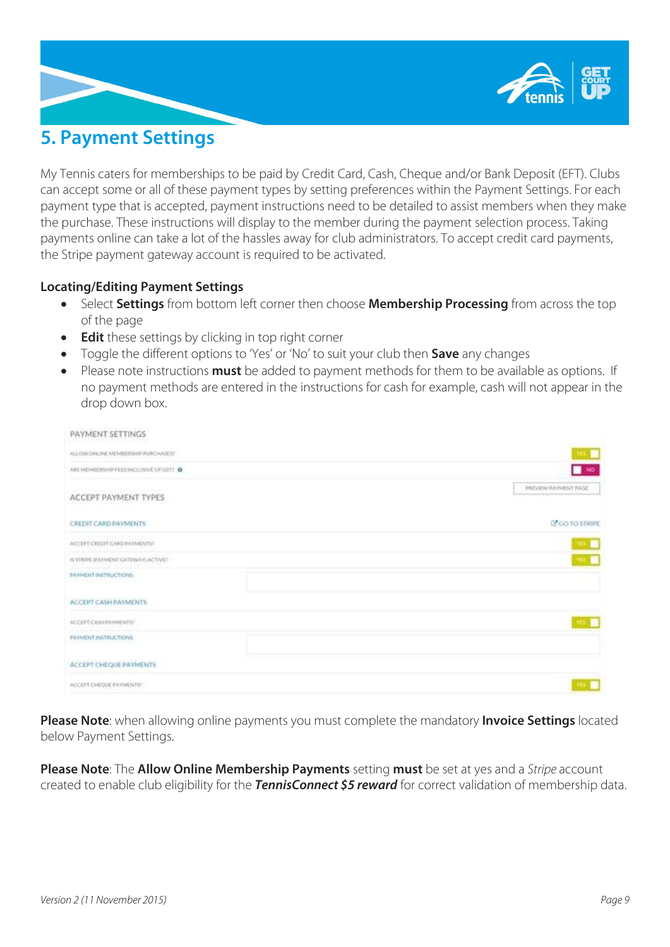

# <span id="page-8-0"></span>**5. Payment Settings**

My Tennis caters for memberships to be paid by Credit Card, Cash, Cheque and/or Bank Deposit (EFT). Clubs can accept some or all of these payment types by setting preferences within the Payment Settings. For each payment type that is accepted, payment instructions need to be detailed to assist members when they make the purchase. These instructions will display to the member during the payment selection process. Taking payments online can take a lot of the hassles away for club administrators. To accept credit card payments, the Stripe payment gateway account is required to be activated.

## **Locating/Editing Payment Settings**

- Select **Settings** from bottom left corner then choose **Membership Processing** from across the top of the page
- **Edit** these settings by clicking in top right corner
- Toggle the different options to 'Yes' or 'No' to suit your club then **Save** any changes
- Please note instructions **must** be added to payment methods for them to be available as options. If no payment methods are entered in the instructions for cash for example, cash will not appear in the drop down box.

| PAYMENT SETTINGS                                      |                      |
|-------------------------------------------------------|----------------------|
| ALLOW CHILINE MEMBERSHIP IRURCHASES!"                 | <b>TEL:</b>          |
| ARE MEMBERSHOP FEES INCLUSIVE OF GIVTY @              | $\blacksquare$ NO    |
| CAN FRANCISCO DE LOS MARIADOS<br>ACCEPT PAYMENT TYPES | PREVIEW RAYMENT PAGE |
| CREDIT CARD PAYMENTS:                                 | C GO TO STRIPE       |
| ACCEPT CREDIT CARD PAYMENTS?                          | WA 1                 |
| IS STRIPS (PAYMENT GATEWAY) ACTIVET                   | $111 - 1$            |
| INVIVENT INSTRUCTIONS:                                |                      |
| ACCEPT CASH PAYMENTS                                  |                      |
| ACCEPT CASH PAYMENTS?                                 | $112 - 10$           |
| <b>INVIVENT INSTRUCTIONS:</b>                         |                      |
| ACCEPT CHEQUE PAYMENTS                                |                      |
| ACCEPT CHEQUE PAYMENTER                               | <b>VEN</b>           |

**Please Note**: when allowing online payments you must complete the mandatory **Invoice Settings** located below Payment Settings.

**Please Note**: The **Allow Online Membership Payments** setting **must** be set at yes and a *Stripe* account created to enable club eligibility for the *TennisConnect \$5 reward* for correct validation of membership data.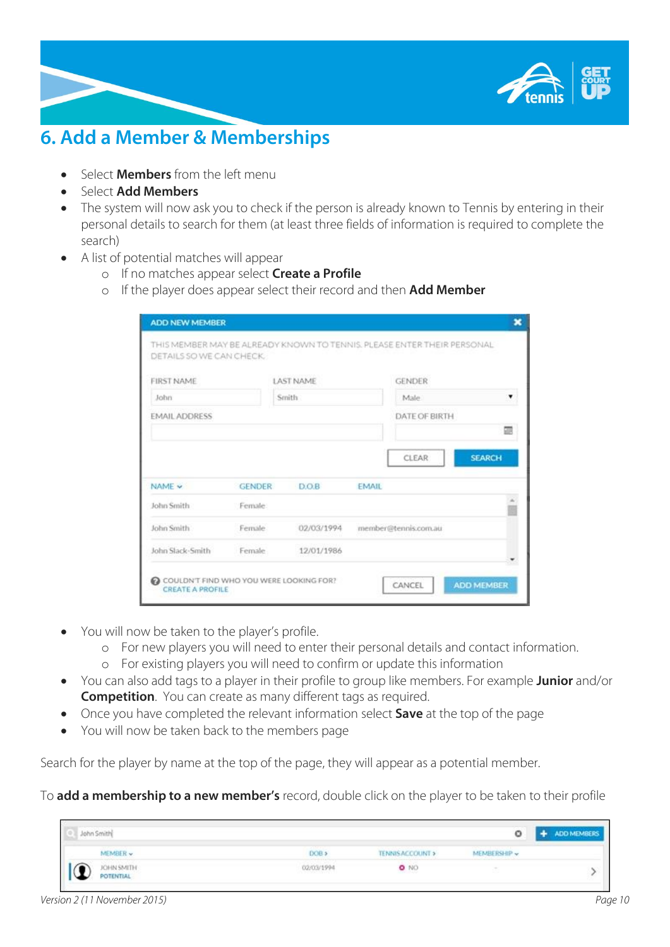

# <span id="page-9-0"></span>**6. Add a Member & Memberships**

- Select **Members** from the left menu
- Select **Add Members**
- The system will now ask you to check if the person is already known to Tennis by entering in their personal details to search for them (at least three fields of information is required to complete the search)
- A list of potential matches will appear
	- o If no matches appear select **Create a Profile**
	- o If the player does appear select their record and then **Add Member**

| DETAILS SO WE CAN CHECK. |               |                  |                        |
|--------------------------|---------------|------------------|------------------------|
| <b>FIRST NAME</b>        |               | <b>LAST NAME</b> | <b>GENDER</b>          |
| John                     |               | Smith            | Male.                  |
| <b>EMAIL ADDRESS</b>     |               |                  | DATE OF BIRTH          |
|                          |               |                  | <b>SEARCH</b><br>CLEAR |
| NAME V                   | <b>GENDER</b> | <b>DOB</b>       | <b>EMAIL</b>           |
| John Smith               | Female:       |                  |                        |
| John Smith               | Female.       | 02/03/1994       | member@tennis.com.au   |

- You will now be taken to the player's profile.
	- o For new players you will need to enter their personal details and contact information.
	- o For existing players you will need to confirm or update this information
- You can also add tags to a player in their profile to group like members. For example **Junior** and/or **Competition**. You can create as many different tags as required.
- Once you have completed the relevant information select **Save** at the top of the page
- You will now be taken back to the members page

Search for the player by name at the top of the page, they will appear as a potential member.

To **add a membership to a new member's** record, double click on the player to be taken to their profile

| John Smith                     | ٥                                                   | <b>ADD MEMBERS</b> |
|--------------------------------|-----------------------------------------------------|--------------------|
| MEMBER v.                      | TENNISACCOUNT ><br>DOB <sub>3</sub><br>MEMBERSHIP v |                    |
| JOHN SMITH<br><b>POTENTIAL</b> | $\bullet$ NO<br>02/03/1994<br>나는 아이가 수인 지갑스러워 가     |                    |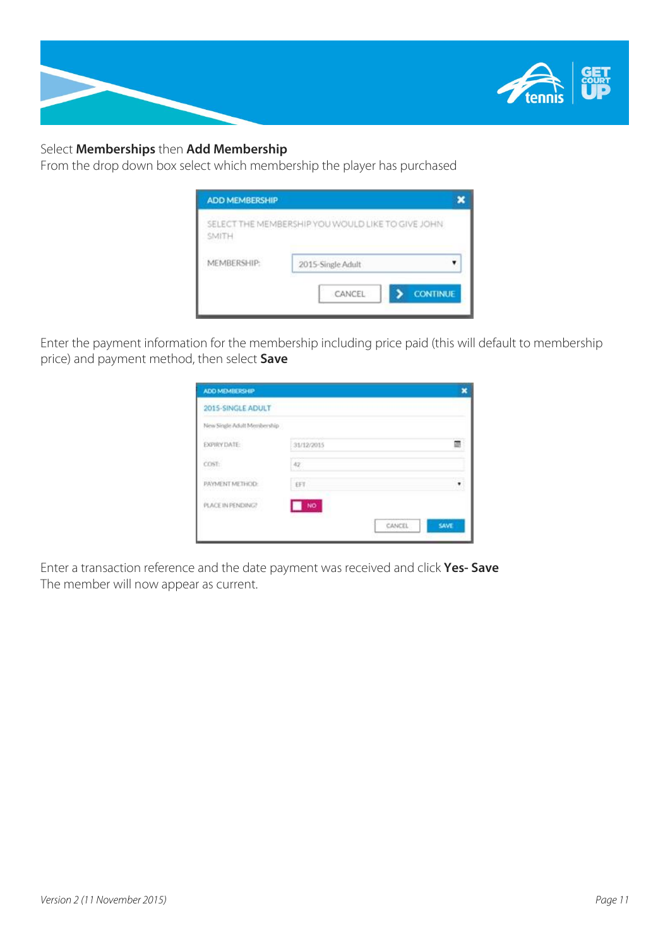

## Select **Memberships** then **Add Membership**

From the drop down box select which membership the player has purchased

| <b>ADD MEMBERSHIP</b> |                                                   | ×               |
|-----------------------|---------------------------------------------------|-----------------|
| SMITH                 | SELECT THE MEMBERSHIP YOU WOULD LIKE TO GIVE JOHN |                 |
| MEMBERSHIP:           | 2015-Single Adult                                 |                 |
|                       | CANCEL                                            | <b>CONTINUE</b> |

Enter the payment information for the membership including price paid (this will default to membership price) and payment method, then select **Save**

| ADD MEMBERSHIP                           |            |               |      |
|------------------------------------------|------------|---------------|------|
| 2015-SINGLE ADULT                        |            |               |      |
| New Single Adult Membership              |            |               |      |
| AG 101 MAG<br>EXPIRY DATE:               | 31/12/2015 |               |      |
| COST:                                    | 42         |               |      |
| PAYMENT METHOD:                          | EFT        |               |      |
| ACTEAN SHOULD AND .<br>PLACE IN PENDING? | NO.<br>×   |               |      |
|                                          |            | <b>CANCEL</b> | SAVE |
|                                          |            |               |      |

Enter a transaction reference and the date payment was received and click **Yes- Save** The member will now appear as current.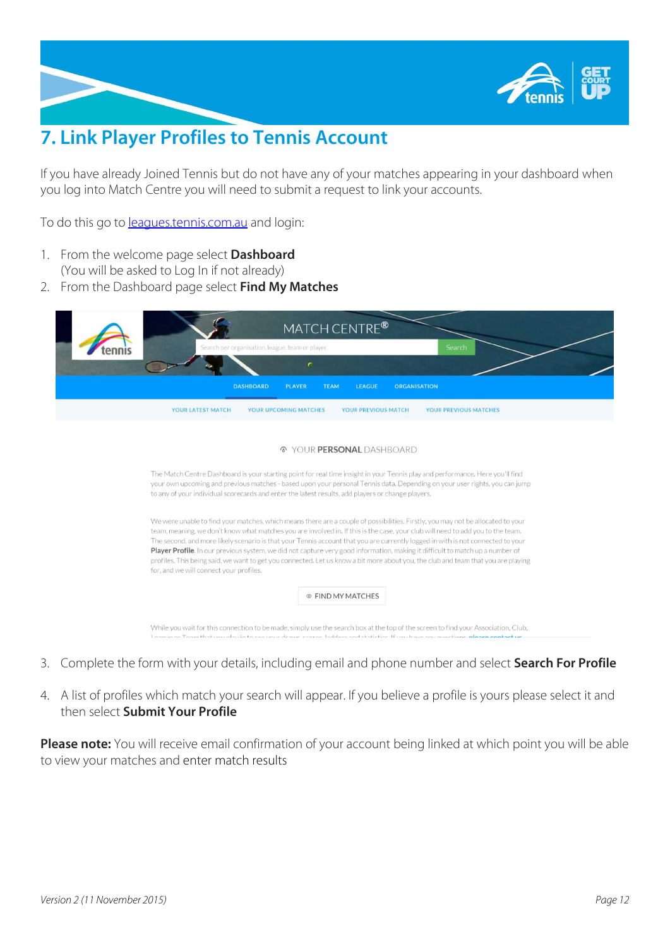

# <span id="page-11-0"></span>**7. Link Player Profiles to Tennis Account**

If you have already Joined Tennis but do not have any of your matches appearing in your dashboard when you log into Match Centre you will need to submit a request to link your accounts.

To do this go to [leagues.tennis.com.au](http://leagues.tennis.com.au/) and login:

- 1. From the welcome page select **Dashboard** (You will be asked to Log In if not already)
- 2. From the Dashboard page select **Find My Matches**

| MATCH CENTRE®<br>Search<br>Search per organisation, league, team or player                                                                                                                                                                                                                                                                                                                                                                                                                                                                                                                                                                                                                                             |
|------------------------------------------------------------------------------------------------------------------------------------------------------------------------------------------------------------------------------------------------------------------------------------------------------------------------------------------------------------------------------------------------------------------------------------------------------------------------------------------------------------------------------------------------------------------------------------------------------------------------------------------------------------------------------------------------------------------------|
|                                                                                                                                                                                                                                                                                                                                                                                                                                                                                                                                                                                                                                                                                                                        |
| <b>DASHBOARD</b><br><b>PLAYER</b><br><b>TEAM</b><br><b>LEAGUE</b><br><b>ORGANISATION</b>                                                                                                                                                                                                                                                                                                                                                                                                                                                                                                                                                                                                                               |
| YOUR LATEST MATCH<br>YOUR UPCOMING MATCHES<br>YOUR PREVIOUS MATCHES<br>YOUR PREVIOUS MATCH                                                                                                                                                                                                                                                                                                                                                                                                                                                                                                                                                                                                                             |
| YOUR PERSONAL DASHBOARD<br>$\mathcal{L}$                                                                                                                                                                                                                                                                                                                                                                                                                                                                                                                                                                                                                                                                               |
| The Match Centre Dashboard is your starting point for real time insight in your Tennis play and performance. Here you'll find<br>your own upcoming and previous matches - based upon your personal Tennis data. Depending on your user rights, you can jump<br>to any of your individual scorecards and enter the latest results, add players or change players.                                                                                                                                                                                                                                                                                                                                                       |
| We were unable to find your matches, which means there are a couple of possibilities. Firstly, you may not be allocated to your<br>team, meaning, we don't know what matches you are involved in. If this is the case, your club will need to add you to the team.<br>The second, and more likely scenario is that your Tennis account that you are currently logged in with is not connected to your<br>Player Profile. In our previous system, we did not capture very good information, making it difficult to match up a number of<br>profiles. This being said, we want to get you connected. Let us know a bit more about you, the club and team that you are playing<br>for, and we will connect your profiles. |
| ◎ FIND MY MATCHES                                                                                                                                                                                                                                                                                                                                                                                                                                                                                                                                                                                                                                                                                                      |
| While you wait for this connection to be made, simply use the search box at the top of the screen to find your Association, Club,                                                                                                                                                                                                                                                                                                                                                                                                                                                                                                                                                                                      |

- 3. Complete the form with your details, including email and phone number and select **Search For Profile**
- 4. A list of profiles which match your search will appear. If you believe a profile is yours please select it and then select **Submit Your Profile**

**Please note:** You will receive email confirmation of your account being linked at which point you will be able to view your matches and enter match results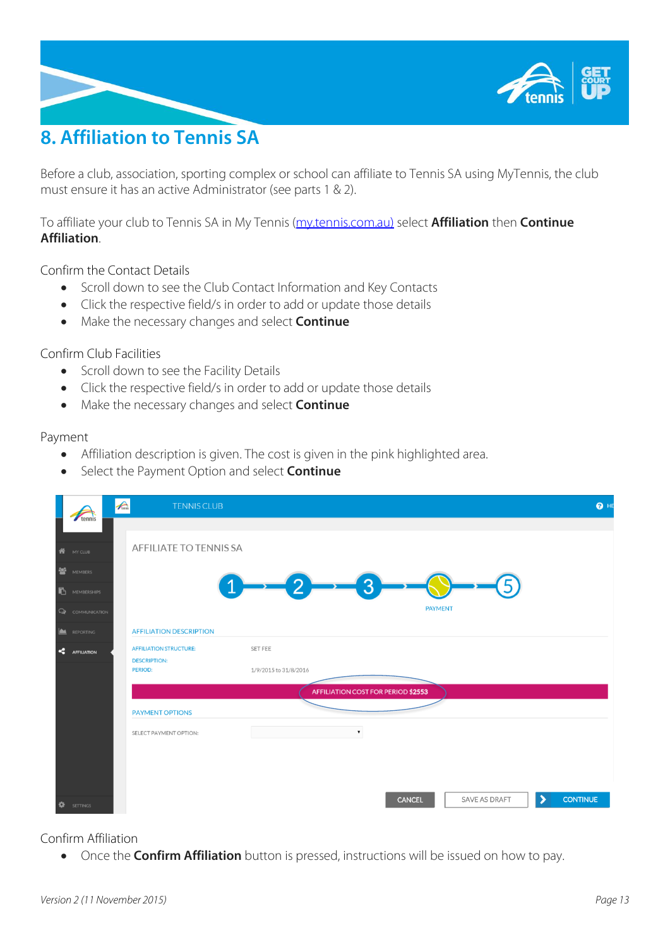

# <span id="page-12-0"></span>**8. Affiliation to Tennis SA**

Before a club, association, sporting complex or school can affiliate to Tennis SA using MyTennis, the club must ensure it has an active Administrator (see parts 1 & 2).

To affiliate your club to Tennis SA in My Tennis [\(my.tennis.com.au\)](https://my.tennis.com.au/) select **Affiliation** then **Continue Affiliation**.

Confirm the Contact Details

- Scroll down to see the Club Contact Information and Key Contacts
- Click the respective field/s in order to add or update those details
- Make the necessary changes and select **Continue**

#### Confirm Club Facilities

- Scroll down to see the Facility Details
- Click the respective field/s in order to add or update those details
- Make the necessary changes and select **Continue**

#### Payment

- Affiliation description is given. The cost is given in the pink highlighted area.
- Select the Payment Option and select **Continue**

|   |                      | $\bigwedge$ | <b>TENNIS CLUB</b>                    |                                       | $\bullet$ HE         |
|---|----------------------|-------------|---------------------------------------|---------------------------------------|----------------------|
|   | tennis               |             |                                       |                                       |                      |
|   | <b>N</b> MY CLUB     |             | AFFILIATE TO TENNIS SA                |                                       |                      |
| 譽 | MEMBERS              |             |                                       |                                       |                      |
|   | MEMBERSHIPS          |             |                                       | $\mathbf{3}$                          |                      |
|   | Q COMMUNICATION      |             |                                       | <b>PAYMENT</b>                        |                      |
|   | REPORTING            |             | <b>AFFILIATION DESCRIPTION</b>        |                                       |                      |
|   | <b>C</b> AFFILIATION |             | <b>AFFILIATION STRUCTURE:</b>         | SET FEE                               |                      |
|   |                      |             | <b>DESCRIPTION:</b><br><b>PERIOD:</b> | 1/9/2015 to 31/8/2016                 |                      |
|   |                      |             |                                       | AFFILIATION COST FOR PERIOD \$2553    |                      |
|   |                      |             | <b>PAYMENT OPTIONS</b>                |                                       |                      |
|   |                      |             | SELECT PAYMENT OPTION:                | $\pmb{\mathrm{v}}$                    |                      |
|   |                      |             |                                       |                                       |                      |
|   |                      |             |                                       |                                       |                      |
|   | <b>W</b> SETTINGS    |             |                                       | <b>SAVE AS DRAFT</b><br><b>CANCEL</b> | ゝ<br><b>CONTINUE</b> |

## Confirm Affiliation

Once the **Confirm Affiliation** button is pressed, instructions will be issued on how to pay.